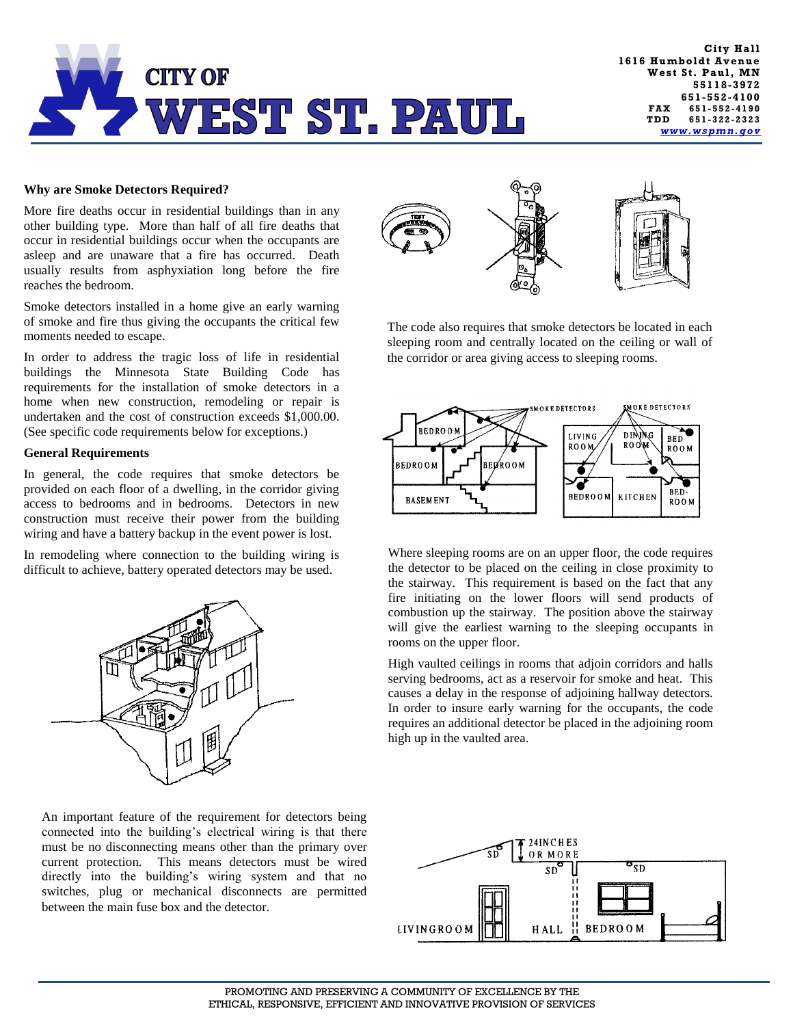

## **Why are Smoke Detectors Required?**

More fire deaths occur in residential buildings than in any other building type. More than half of all fire deaths that occur in residential buildings occur when the occupants are asleep and are unaware that a fire has occurred. Death usually results from asphyxiation long before the fire reaches the bedroom.

Smoke detectors installed in a home give an early warning of smoke and fire thus giving the occupants the critical few moments needed to escape.

In order to address the tragic loss of life in residential buildings the Minnesota State Building Code has requirements for the installation of smoke detectors in a home when new construction, remodeling or repair is undertaken and the cost of construction exceeds \$1,000.00. (See specific code requirements below for exceptions.)

## **General Requirements**

In general, the code requires that smoke detectors be provided on each floor of a dwelling, in the corridor giving access to bedrooms and in bedrooms. Detectors in new construction must receive their power from the building wiring and have a battery backup in the event power is lost.

In remodeling where connection to the building wiring is difficult to achieve, battery operated detectors may be used.



An important feature of the requirement for detectors being connected into the building's electrical wiring is that there must be no disconnecting means other than the primary over current protection. This means detectors must be wired directly into the building's wiring system and that no switches, plug or mechanical disconnects are permitted between the main fuse box and the detector.



The code also requires that smoke detectors be located in each sleeping room and centrally located on the ceiling or wall of the corridor or area giving access to sleeping rooms.



Where sleeping rooms are on an upper floor, the code requires the detector to be placed on the ceiling in close proximity to the stairway. This requirement is based on the fact that any fire initiating on the lower floors will send products of combustion up the stairway. The position above the stairway will give the earliest warning to the sleeping occupants in rooms on the upper floor.

High vaulted ceilings in rooms that adjoin corridors and halls serving bedrooms, act as a reservoir for smoke and heat. This causes a delay in the response of adjoining hallway detectors. In order to insure early warning for the occupants, the code requires an additional detector be placed in the adjoining room high up in the vaulted area.